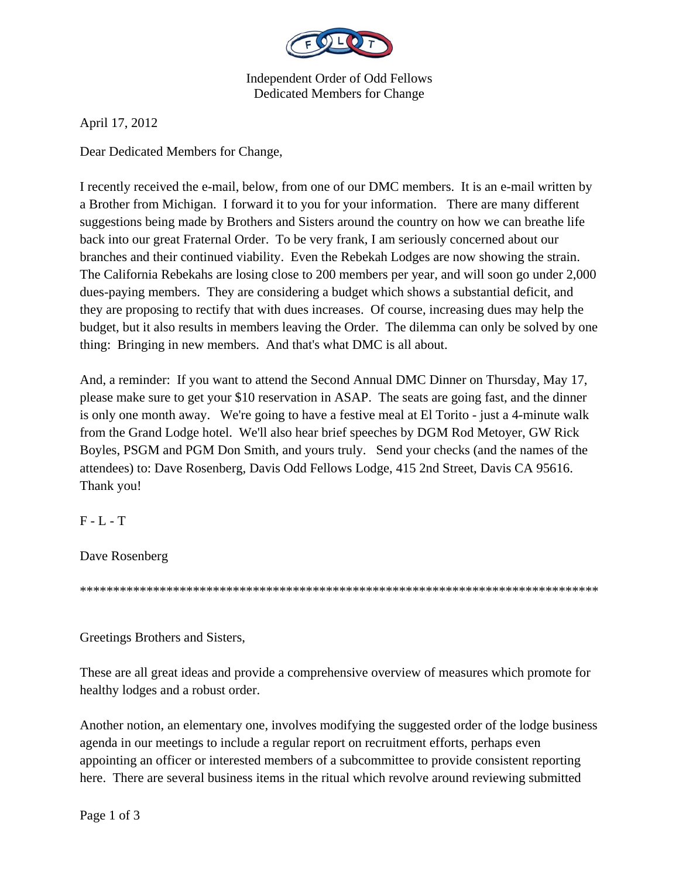

Independent Order of Odd Fellows Dedicated Members for Change

April 17, 2012

Dear Dedicated Members for Change,

I recently received the e-mail, below, from one of our DMC members. It is an e-mail written by a Brother from Michigan. I forward it to you for your information. There are many different suggestions being made by Brothers and Sisters around the country on how we can breathe life back into our great Fraternal Order. To be very frank, I am seriously concerned about our branches and their continued viability. Even the Rebekah Lodges are now showing the strain. The California Rebekahs are losing close to 200 members per year, and will soon go under 2,000 dues-paying members. They are considering a budget which shows a substantial deficit, and they are proposing to rectify that with dues increases. Of course, increasing dues may help the budget, but it also results in members leaving the Order. The dilemma can only be solved by one thing: Bringing in new members. And that's what DMC is all about.

And, a reminder: If you want to attend the Second Annual DMC Dinner on Thursday, May 17, please make sure to get your \$10 reservation in ASAP. The seats are going fast, and the dinner is only one month away. We're going to have a festive meal at El Torito - just a 4-minute walk from the Grand Lodge hotel. We'll also hear brief speeches by DGM Rod Metoyer, GW Rick Boyles, PSGM and PGM Don Smith, and yours truly. Send your checks (and the names of the attendees) to: Dave Rosenberg, Davis Odd Fellows Lodge, 415 2nd Street, Davis CA 95616. Thank you!

F - L - T

Dave Rosenberg

\*\*\*\*\*\*\*\*\*\*\*\*\*\*\*\*\*\*\*\*\*\*\*\*\*\*\*\*\*\*\*\*\*\*\*\*\*\*\*\*\*\*\*\*\*\*\*\*\*\*\*\*\*\*\*\*\*\*\*\*\*\*\*\*\*\*\*\*\*\*\*\*\*\*\*\*\*\*

Greetings Brothers and Sisters,

These are all great ideas and provide a comprehensive overview of measures which promote for healthy lodges and a robust order.

Another notion, an elementary one, involves modifying the suggested order of the lodge business agenda in our meetings to include a regular report on recruitment efforts, perhaps even appointing an officer or interested members of a subcommittee to provide consistent reporting here. There are several business items in the ritual which revolve around reviewing submitted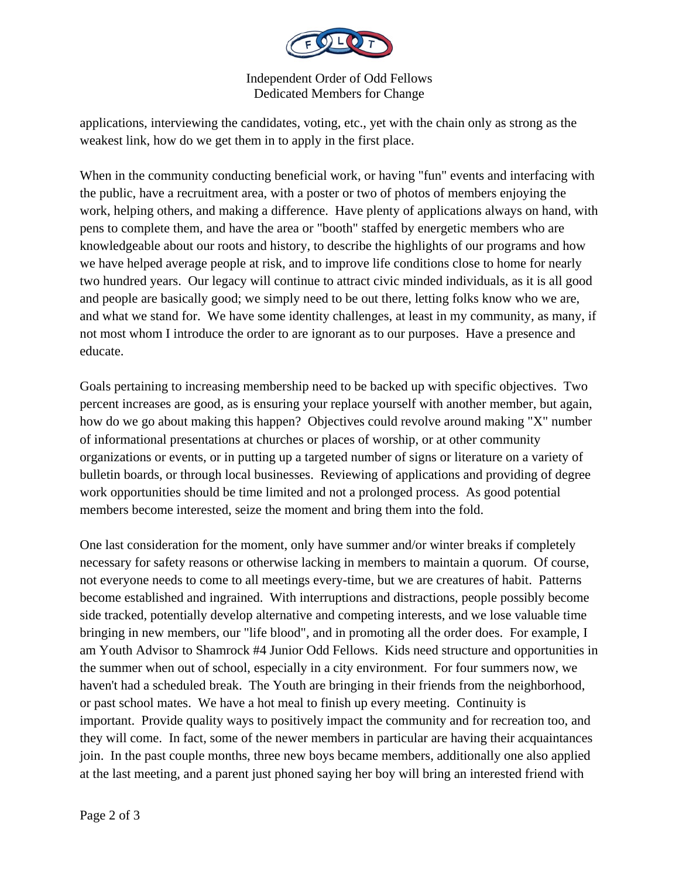

Independent Order of Odd Fellows Dedicated Members for Change

applications, interviewing the candidates, voting, etc., yet with the chain only as strong as the weakest link, how do we get them in to apply in the first place.

When in the community conducting beneficial work, or having "fun" events and interfacing with the public, have a recruitment area, with a poster or two of photos of members enjoying the work, helping others, and making a difference. Have plenty of applications always on hand, with pens to complete them, and have the area or "booth" staffed by energetic members who are knowledgeable about our roots and history, to describe the highlights of our programs and how we have helped average people at risk, and to improve life conditions close to home for nearly two hundred years. Our legacy will continue to attract civic minded individuals, as it is all good and people are basically good; we simply need to be out there, letting folks know who we are, and what we stand for. We have some identity challenges, at least in my community, as many, if not most whom I introduce the order to are ignorant as to our purposes. Have a presence and educate.

Goals pertaining to increasing membership need to be backed up with specific objectives. Two percent increases are good, as is ensuring your replace yourself with another member, but again, how do we go about making this happen? Objectives could revolve around making "X" number of informational presentations at churches or places of worship, or at other community organizations or events, or in putting up a targeted number of signs or literature on a variety of bulletin boards, or through local businesses. Reviewing of applications and providing of degree work opportunities should be time limited and not a prolonged process. As good potential members become interested, seize the moment and bring them into the fold.

One last consideration for the moment, only have summer and/or winter breaks if completely necessary for safety reasons or otherwise lacking in members to maintain a quorum. Of course, not everyone needs to come to all meetings every-time, but we are creatures of habit. Patterns become established and ingrained. With interruptions and distractions, people possibly become side tracked, potentially develop alternative and competing interests, and we lose valuable time bringing in new members, our "life blood", and in promoting all the order does. For example, I am Youth Advisor to Shamrock #4 Junior Odd Fellows. Kids need structure and opportunities in the summer when out of school, especially in a city environment. For four summers now, we haven't had a scheduled break. The Youth are bringing in their friends from the neighborhood, or past school mates. We have a hot meal to finish up every meeting. Continuity is important. Provide quality ways to positively impact the community and for recreation too, and they will come. In fact, some of the newer members in particular are having their acquaintances join. In the past couple months, three new boys became members, additionally one also applied at the last meeting, and a parent just phoned saying her boy will bring an interested friend with